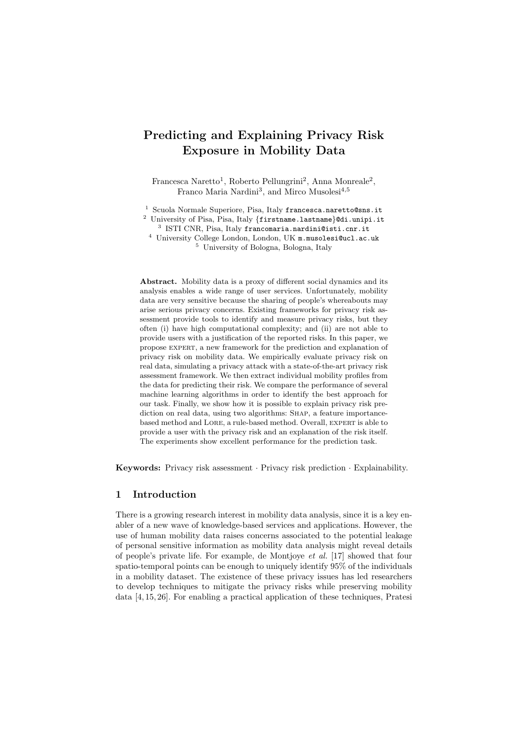# Predicting and Explaining Privacy Risk Exposure in Mobility Data

Francesca Naretto<sup>1</sup>, Roberto Pellungrini<sup>2</sup>, Anna Monreale<sup>2</sup>, Franco Maria Nardini<sup>3</sup>, and Mirco Musolesi<sup>4,5</sup>

<sup>1</sup> Scuola Normale Superiore, Pisa, Italy francesca.naretto@sns.it<br><sup>2</sup> University of Pisa, Pisa, Italy (firstname, lastname)@di.unini\_it

<sup>2</sup> University of Pisa, Pisa, Italy *{*firstname.lastname*}*@di.unipi.it <sup>3</sup> ISTI CNR, Pisa, Italy francomaria.nardini@isti.cnr.it

<sup>4</sup> University College London, London, UK m.musolesi@ucl.ac.uk <sup>5</sup> University of Bologna, Bologna, Italy

Abstract. Mobility data is a proxy of different social dynamics and its analysis enables a wide range of user services. Unfortunately, mobility data are very sensitive because the sharing of people's whereabouts may arise serious privacy concerns. Existing frameworks for privacy risk assessment provide tools to identify and measure privacy risks, but they often (i) have high computational complexity; and (ii) are not able to provide users with a justification of the reported risks. In this paper, we propose expert, a new framework for the prediction and explanation of privacy risk on mobility data. We empirically evaluate privacy risk on real data, simulating a privacy attack with a state-of-the-art privacy risk assessment framework. We then extract individual mobility profiles from the data for predicting their risk. We compare the performance of several machine learning algorithms in order to identify the best approach for our task. Finally, we show how it is possible to explain privacy risk prediction on real data, using two algorithms: SHAP, a feature importancebased method and LORE, a rule-based method. Overall, EXPERT is able to provide a user with the privacy risk and an explanation of the risk itself. The experiments show excellent performance for the prediction task.

Keywords: Privacy risk assessment *·* Privacy risk prediction *·* Explainability.

#### 1 Introduction

There is a growing research interest in mobility data analysis, since it is a key enabler of a new wave of knowledge-based services and applications. However, the use of human mobility data raises concerns associated to the potential leakage of personal sensitive information as mobility data analysis might reveal details of people's private life. For example, de Montjoye *et al.* [17] showed that four spatio-temporal points can be enough to uniquely identify 95% of the individuals in a mobility dataset. The existence of these privacy issues has led researchers to develop techniques to mitigate the privacy risks while preserving mobility data [4, 15, 26]. For enabling a practical application of these techniques, Pratesi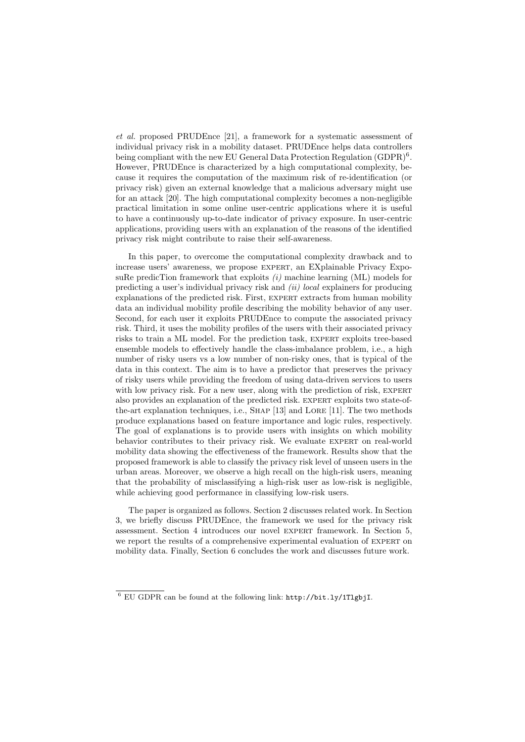*et al.* proposed PRUDEnce [21], a framework for a systematic assessment of individual privacy risk in a mobility dataset. PRUDEnce helps data controllers being compliant with the new EU General Data Protection Regulation (GDPR)<sup>6</sup>. However, PRUDEnce is characterized by a high computational complexity, because it requires the computation of the maximum risk of re-identification (or privacy risk) given an external knowledge that a malicious adversary might use for an attack [20]. The high computational complexity becomes a non-negligible practical limitation in some online user-centric applications where it is useful to have a continuously up-to-date indicator of privacy exposure. In user-centric applications, providing users with an explanation of the reasons of the identified privacy risk might contribute to raise their self-awareness.

In this paper, to overcome the computational complexity drawback and to increase users' awareness, we propose expert, an EXplainable Privacy ExposuRe predicTion framework that exploits *(i)* machine learning (ML) models for predicting a user's individual privacy risk and *(ii) local* explainers for producing explanations of the predicted risk. First, EXPERT extracts from human mobility data an individual mobility profile describing the mobility behavior of any user. Second, for each user it exploits PRUDEnce to compute the associated privacy risk. Third, it uses the mobility profiles of the users with their associated privacy risks to train a ML model. For the prediction task, expert exploits tree-based ensemble models to effectively handle the class-imbalance problem, i.e., a high number of risky users vs a low number of non-risky ones, that is typical of the data in this context. The aim is to have a predictor that preserves the privacy of risky users while providing the freedom of using data-driven services to users with low privacy risk. For a new user, along with the prediction of risk, EXPERT also provides an explanation of the predicted risk. EXPERT exploits two state-ofthe-art explanation techniques, i.e., Shap [13] and Lore [11]. The two methods produce explanations based on feature importance and logic rules, respectively. The goal of explanations is to provide users with insights on which mobility behavior contributes to their privacy risk. We evaluate EXPERT on real-world mobility data showing the effectiveness of the framework. Results show that the proposed framework is able to classify the privacy risk level of unseen users in the urban areas. Moreover, we observe a high recall on the high-risk users, meaning that the probability of misclassifying a high-risk user as low-risk is negligible, while achieving good performance in classifying low-risk users.

The paper is organized as follows. Section 2 discusses related work. In Section 3, we briefly discuss PRUDEnce, the framework we used for the privacy risk assessment. Section 4 introduces our novel expert framework. In Section 5, we report the results of a comprehensive experimental evaluation of EXPERT on mobility data. Finally, Section 6 concludes the work and discusses future work.

<sup>6</sup> EU GDPR can be found at the following link: http://bit.ly/1TlgbjI.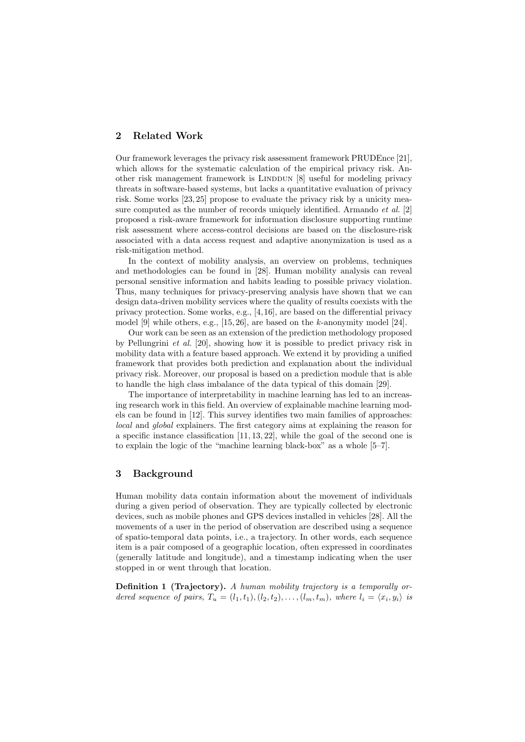## 2 Related Work

Our framework leverages the privacy risk assessment framework PRUDEnce [21], which allows for the systematic calculation of the empirical privacy risk. Another risk management framework is LINDDUN [8] useful for modeling privacy threats in software-based systems, but lacks a quantitative evaluation of privacy risk. Some works [23, 25] propose to evaluate the privacy risk by a unicity measure computed as the number of records uniquely identified. Armando *et al.* [2] proposed a risk-aware framework for information disclosure supporting runtime risk assessment where access-control decisions are based on the disclosure-risk associated with a data access request and adaptive anonymization is used as a risk-mitigation method.

In the context of mobility analysis, an overview on problems, techniques and methodologies can be found in [28]. Human mobility analysis can reveal personal sensitive information and habits leading to possible privacy violation. Thus, many techniques for privacy-preserving analysis have shown that we can design data-driven mobility services where the quality of results coexists with the privacy protection. Some works, e.g.,  $[4,16]$ , are based on the differential privacy model [9] while others, e.g., [15, 26], are based on the *k*-anonymity model [24].

Our work can be seen as an extension of the prediction methodology proposed by Pellungrini *et al.* [20], showing how it is possible to predict privacy risk in mobility data with a feature based approach. We extend it by providing a unified framework that provides both prediction and explanation about the individual privacy risk. Moreover, our proposal is based on a prediction module that is able to handle the high class imbalance of the data typical of this domain [29].

The importance of interpretability in machine learning has led to an increasing research work in this field. An overview of explainable machine learning models can be found in [12]. This survey identifies two main families of approaches: *local* and *global* explainers. The first category aims at explaining the reason for a specific instance classification [11, 13, 22], while the goal of the second one is to explain the logic of the "machine learning black-box" as a whole [5–7].

## 3 Background

Human mobility data contain information about the movement of individuals during a given period of observation. They are typically collected by electronic devices, such as mobile phones and GPS devices installed in vehicles [28]. All the movements of a user in the period of observation are described using a sequence of spatio-temporal data points, i.e., a trajectory. In other words, each sequence item is a pair composed of a geographic location, often expressed in coordinates (generally latitude and longitude), and a timestamp indicating when the user stopped in or went through that location.

Definition 1 (Trajectory). *A human mobility trajectory is a temporally or*dered sequence of pairs,  $T_u = (l_1, t_1), (l_2, t_2), \ldots, (l_m, t_m)$ , where  $l_i = \langle x_i, y_i \rangle$  is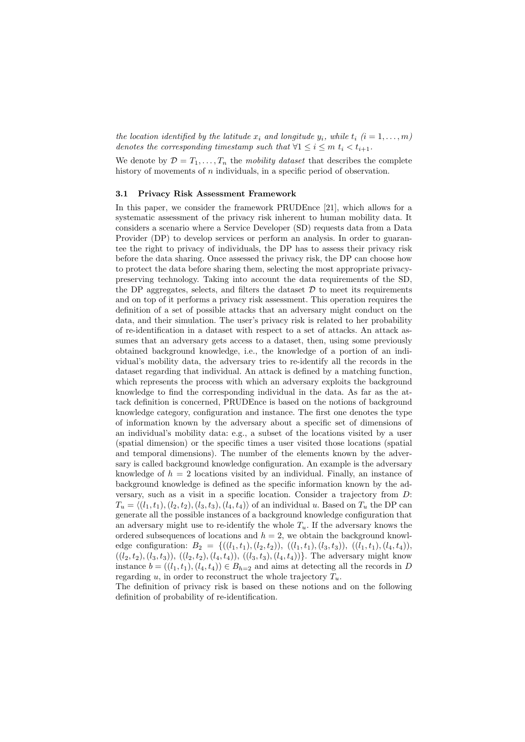*the location identified by the latitude*  $x_i$  *and longitude*  $y_i$ *, while*  $t_i$  ( $i = 1, \ldots, m$ ) *denotes the corresponding timestamp such that*  $\forall 1 \leq i \leq m$   $t_i < t_{i+1}$ .

We denote by  $\mathcal{D} = T_1, \ldots, T_n$  the *mobility dataset* that describes the complete history of movements of *n* individuals, in a specific period of observation.

#### 3.1 Privacy Risk Assessment Framework

In this paper, we consider the framework PRUDEnce [21], which allows for a systematic assessment of the privacy risk inherent to human mobility data. It considers a scenario where a Service Developer (SD) requests data from a Data Provider (DP) to develop services or perform an analysis. In order to guarantee the right to privacy of individuals, the DP has to assess their privacy risk before the data sharing. Once assessed the privacy risk, the DP can choose how to protect the data before sharing them, selecting the most appropriate privacypreserving technology. Taking into account the data requirements of the SD, the DP aggregates, selects, and filters the dataset  $D$  to meet its requirements and on top of it performs a privacy risk assessment. This operation requires the definition of a set of possible attacks that an adversary might conduct on the data, and their simulation. The user's privacy risk is related to her probability of re-identification in a dataset with respect to a set of attacks. An attack assumes that an adversary gets access to a dataset, then, using some previously obtained background knowledge, i.e., the knowledge of a portion of an individual's mobility data, the adversary tries to re-identify all the records in the dataset regarding that individual. An attack is defined by a matching function, which represents the process with which an adversary exploits the background knowledge to find the corresponding individual in the data. As far as the attack definition is concerned, PRUDEnce is based on the notions of background knowledge category, configuration and instance. The first one denotes the type of information known by the adversary about a specific set of dimensions of an individual's mobility data: e.g., a subset of the locations visited by a user (spatial dimension) or the specific times a user visited those locations (spatial and temporal dimensions). The number of the elements known by the adversary is called background knowledge configuration. An example is the adversary knowledge of  $h = 2$  locations visited by an individual. Finally, an instance of background knowledge is defined as the specific information known by the adversary, such as a visit in a specific location. Consider a trajectory from *D*:  $T_u = \langle (l_1, t_1), (l_2, t_2), (l_3, t_3), (l_4, t_4) \rangle$  of an individual *u*. Based on  $T_u$  the DP can generate all the possible instances of a background knowledge configuration that an adversary might use to re-identify the whole  $T_u$ . If the adversary knows the ordered subsequences of locations and  $h = 2$ , we obtain the background knowledge configuration:  $B_2 = \{((l_1, t_1), (l_2, t_2)), ((l_1, t_1), (l_3, t_3)), ((l_1, t_1), (l_4, t_4)),$  $((l_2, t_2), (l_3, t_3)), ((l_2, t_2), (l_4, t_4)), ((l_3, t_3), (l_4, t_4))\}.$  The adversary might know instance  $b = ((l_1, t_1), (l_4, t_4)) \in B_{h=2}$  and aims at detecting all the records in *D* regarding *u*, in order to reconstruct the whole trajectory  $T_u$ .

The definition of privacy risk is based on these notions and on the following definition of probability of re-identification.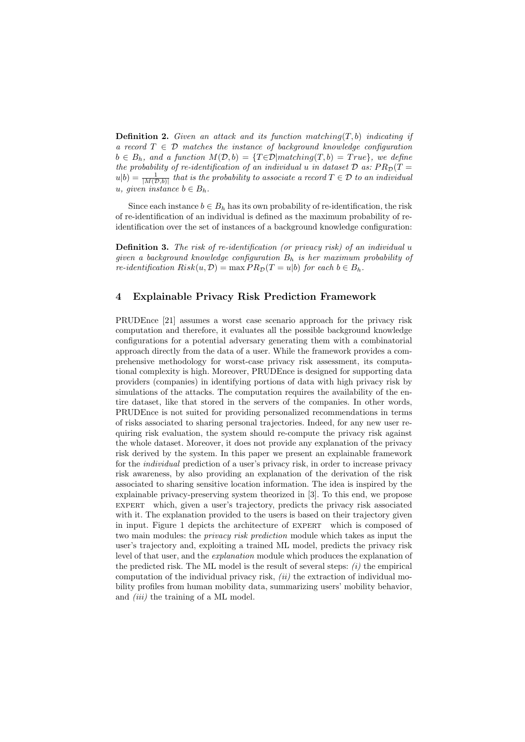Definition 2. *Given an attack and its function matching*(*T,b*) *indicating if a record*  $T \in \mathcal{D}$  *matches the instance of background knowledge configuration*  $b \in B_h$ *, and a function*  $M(\mathcal{D}, b) = \{T \in \mathcal{D} | matching(T, b) = True\}$ *, we define the probability of re-identification of an individual <i>u* in dataset  $D$  *as:*  $PR_D(T =$  $u|b) = \frac{1}{|M(D,b)|}$  *that is the probability to associate a record*  $T \in \mathcal{D}$  *to an individual u*, given instance  $b \in B_h$ .

Since each instance  $b \in B_h$  has its own probability of re-identification, the risk of re-identification of an individual is defined as the maximum probability of reidentification over the set of instances of a background knowledge configuration:

Definition 3. *The risk of re-identification (or privacy risk) of an individual u given a background knowledge configuration B<sup>h</sup> is her maximum probability of re-identification*  $Risk(u, \mathcal{D}) = \max PR_{\mathcal{D}}(T = u|b)$  *for each*  $b \in B_h$ *.* 

## 4 Explainable Privacy Risk Prediction Framework

PRUDEnce [21] assumes a worst case scenario approach for the privacy risk computation and therefore, it evaluates all the possible background knowledge configurations for a potential adversary generating them with a combinatorial approach directly from the data of a user. While the framework provides a comprehensive methodology for worst-case privacy risk assessment, its computational complexity is high. Moreover, PRUDEnce is designed for supporting data providers (companies) in identifying portions of data with high privacy risk by simulations of the attacks. The computation requires the availability of the entire dataset, like that stored in the servers of the companies. In other words, PRUDEnce is not suited for providing personalized recommendations in terms of risks associated to sharing personal trajectories. Indeed, for any new user requiring risk evaluation, the system should re-compute the privacy risk against the whole dataset. Moreover, it does not provide any explanation of the privacy risk derived by the system. In this paper we present an explainable framework for the *individual* prediction of a user's privacy risk, in order to increase privacy risk awareness, by also providing an explanation of the derivation of the risk associated to sharing sensitive location information. The idea is inspired by the explainable privacy-preserving system theorized in [3]. To this end, we propose EXPERT which, given a user's trajectory, predicts the privacy risk associated with it. The explanation provided to the users is based on their trajectory given in input. Figure 1 depicts the architecture of EXPERT which is composed of two main modules: the *privacy risk prediction* module which takes as input the user's trajectory and, exploiting a trained ML model, predicts the privacy risk level of that user, and the *explanation* module which produces the explanation of the predicted risk. The ML model is the result of several steps: *(i)* the empirical computation of the individual privacy risk, *(ii)* the extraction of individual mobility profiles from human mobility data, summarizing users' mobility behavior, and *(iii)* the training of a ML model.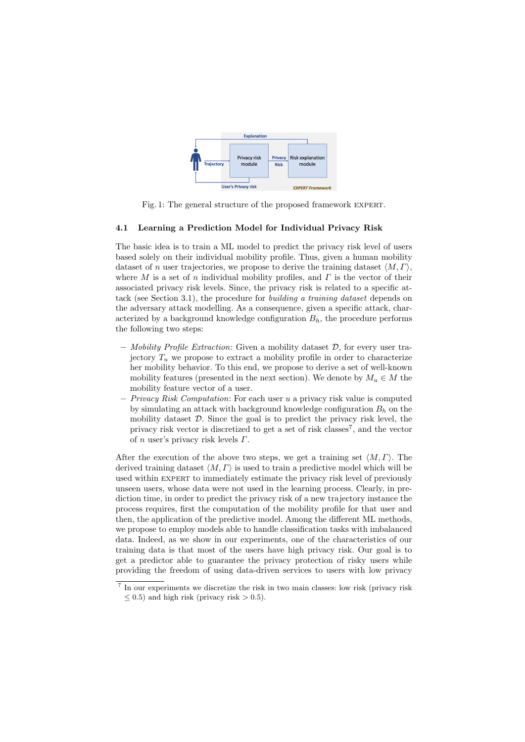

Fig. 1: The general structure of the proposed framework EXPERT.

### 4.1 Learning a Prediction Model for Individual Privacy Risk

The basic idea is to train a ML model to predict the privacy risk level of users based solely on their individual mobility profile. Thus, given a human mobility dataset of *n* user trajectories, we propose to derive the training dataset  $\langle M, \Gamma \rangle$ , where  $M$  is a set of  $n$  individual mobility profiles, and  $\Gamma$  is the vector of their associated privacy risk levels. Since, the privacy risk is related to a specific attack (see Section 3.1), the procedure for *building a training dataset* depends on the adversary attack modelling. As a consequence, given a specific attack, characterized by a background knowledge configuration  $B_h$ , the procedure performs the following two steps:

- *Mobility Profile Extraction*: Given a mobility dataset *D*, for every user trajectory  $T_u$  we propose to extract a mobility profile in order to characterize her mobility behavior. To this end, we propose to derive a set of well-known mobility features (presented in the next section). We denote by  $M_u \in M$  the mobility feature vector of a user.
- *Privacy Risk Computation*: For each user *u* a privacy risk value is computed by simulating an attack with background knowledge configuration  $B_h$  on the mobility dataset  $\mathcal{D}$ . Since the goal is to predict the privacy risk level, the privacy risk vector is discretized to get a set of risk classes<sup>7</sup>, and the vector of  $n$  user's privacy risk levels  $\Gamma$ .

After the execution of the above two steps, we get a training set  $\langle M, \Gamma \rangle$ . The derived training dataset  $\langle M, \Gamma \rangle$  is used to train a predictive model which will be used within expert to immediately estimate the privacy risk level of previously unseen users, whose data were not used in the learning process. Clearly, in prediction time, in order to predict the privacy risk of a new trajectory instance the process requires, first the computation of the mobility profile for that user and then, the application of the predictive model. Among the different ML methods, we propose to employ models able to handle classification tasks with imbalanced data. Indeed, as we show in our experiments, one of the characteristics of our training data is that most of the users have high privacy risk. Our goal is to get a predictor able to guarantee the privacy protection of risky users while providing the freedom of using data-driven services to users with low privacy

 $^7$  In our experiments we discretize the risk in two main classes: low risk (privacy risk  $\leq$  0.5) and high risk (privacy risk  $>$  0.5).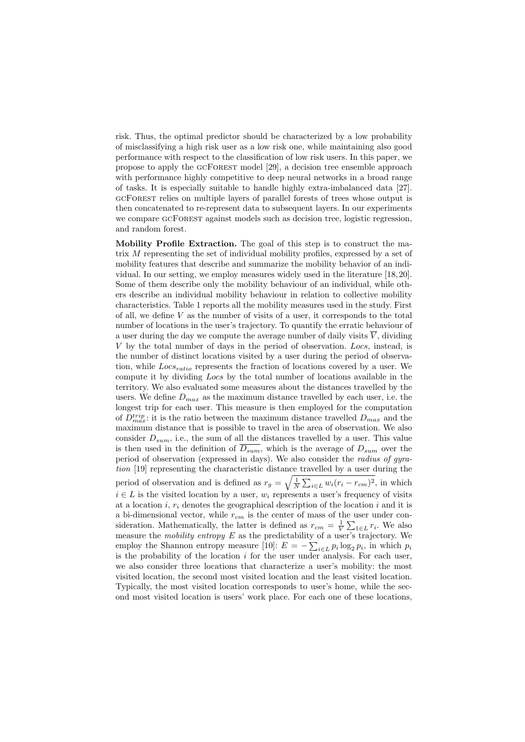risk. Thus, the optimal predictor should be characterized by a low probability of misclassifying a high risk user as a low risk one, while maintaining also good performance with respect to the classification of low risk users. In this paper, we propose to apply the gcForest model [29], a decision tree ensemble approach with performance highly competitive to deep neural networks in a broad range of tasks. It is especially suitable to handle highly extra-imbalanced data [27]. gcForest relies on multiple layers of parallel forests of trees whose output is then concatenated to re-represent data to subsequent layers. In our experiments we compare GCFOREST against models such as decision tree, logistic regression, and random forest.

Mobility Profile Extraction. The goal of this step is to construct the matrix *M* representing the set of individual mobility profiles, expressed by a set of mobility features that describe and summarize the mobility behavior of an individual. In our setting, we employ measures widely used in the literature [18, 20]. Some of them describe only the mobility behaviour of an individual, while others describe an individual mobility behaviour in relation to collective mobility characteristics. Table 1 reports all the mobility measures used in the study. First of all, we define *V* as the number of visits of a user, it corresponds to the total number of locations in the user's trajectory. To quantify the erratic behaviour of a user during the day we compute the average number of daily visits  $\overline{V}$ , dividing *V* by the total number of days in the period of observation. *Locs*, instead, is the number of distinct locations visited by a user during the period of observation, while *Locsratio* represents the fraction of locations covered by a user. We compute it by dividing *Locs* by the total number of locations available in the territory. We also evaluated some measures about the distances travelled by the users. We define  $D_{max}$  as the maximum distance travelled by each user, i.e. the longest trip for each user. This measure is then employed for the computation of  $D_{max}^{trip}$ : it is the ratio between the maximum distance travelled  $D_{max}$  and the maximum distance that is possible to travel in the area of observation. We also consider  $D_{sum}$ , i.e., the sum of all the distances travelled by a user. This value is then used in the definition of  $\overline{D_{sum}}$ , which is the average of  $D_{sum}$  over the period of observation (expressed in days). We also consider the *radius of gyration* [19] representing the characteristic distance travelled by a user during the period of observation and is defined as  $r_g = \sqrt{\frac{1}{N} \sum_{i \in L} w_i (r_i - r_{cm})^2}$ , in which  $i \in L$  is the visited location by a user,  $w_i$  represents a user's frequency of visits at a location  $i$ ,  $r_i$  denotes the geographical description of the location  $i$  and it is a bi-dimensional vector, while *rcm* is the center of mass of the user under consideration. Mathematically, the latter is defined as  $r_{cm} = \frac{1}{V} \sum_{1 \in L} r_i$ . We also measure the *mobility entropy*  $E$  as the predictability of a user's trajectory. We employ the Shannon entropy measure [10]:  $E = -\sum_{i \in L} p_i \log_2 p_i$ , in which  $p_i$ is the probability of the location *i* for the user under analysis. For each user, we also consider three locations that characterize a user's mobility: the most visited location, the second most visited location and the least visited location. Typically, the most visited location corresponds to user's home, while the second most visited location is users' work place. For each one of these locations,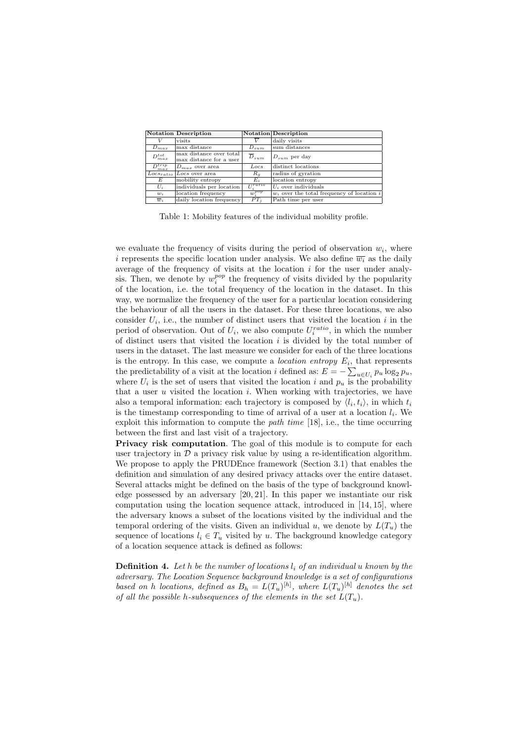|                   | <b>Notation</b> Description                        |                          | <b>Notation</b> Description                  |
|-------------------|----------------------------------------------------|--------------------------|----------------------------------------------|
| V                 | visits                                             |                          | daily visits                                 |
| $D_{max}$         | max distance                                       | $D_{sum}$                | sum distances                                |
| $D_{\max }^{tot}$ | max distance over total<br>max distance for a user | $\overline{D}_{sum}$     | $D_{sum}$ per day                            |
| $D_{max}^{trip}$  | $D_{max}$ over area                                | Locs                     | distinct locations                           |
| $Locs_{ratio}$    | Locs over area                                     | $R_q$                    | radius of gyration                           |
| E                 | mobility entropy                                   | $E_i$                    | location entropy                             |
| $U_i$             | individuals per location                           | $\overline{U}^{ratio}$   | $U_i$ over individuals                       |
| $w_i$             | location frequency                                 | $\frac{1}{w}$ <i>pop</i> | $w_i$ over the total frequency of location i |
| $\overline{w}_i$  | daily location frequency                           | $PT_i$                   | Path time per user                           |

Table 1: Mobility features of the individual mobility profile.

we evaluate the frequency of visits during the period of observation  $w_i$ , where *i* represents the specific location under analysis. We also define  $\overline{w_i}$  as the daily average of the frequency of visits at the location *i* for the user under analysis. Then, we denote by  $w_i^{pop}$  the frequency of visits divided by the popularity of the location, i.e. the total frequency of the location in the dataset. In this way, we normalize the frequency of the user for a particular location considering the behaviour of all the users in the dataset. For these three locations, we also consider  $U_i$ , i.e., the number of distinct users that visited the location  $i$  in the period of observation. Out of  $U_i$ , we also compute  $U_i^{ratio}$ , in which the number of distinct users that visited the location *i* is divided by the total number of users in the dataset. The last measure we consider for each of the three locations is the entropy. In this case, we compute a *location entropy*  $E_i$ , that represents the predictability of a visit at the location *i* defined as:  $E = -\sum_{u \in U_i} p_u \log_2 p_u$ , where  $U_i$  is the set of users that visited the location *i* and  $p_u$  is the probability that a user *u* visited the location *i*. When working with trajectories, we have also a temporal information: each trajectory is composed by  $\langle l_i, t_i \rangle$ , in which  $t_i$ is the timestamp corresponding to time of arrival of a user at a location  $l_i$ . We exploit this information to compute the *path time* [18], i.e., the time occurring between the first and last visit of a trajectory.

Privacy risk computation. The goal of this module is to compute for each user trajectory in  $D$  a privacy risk value by using a re-identification algorithm. We propose to apply the PRUDEnce framework (Section 3.1) that enables the definition and simulation of any desired privacy attacks over the entire dataset. Several attacks might be defined on the basis of the type of background knowledge possessed by an adversary [20, 21]. In this paper we instantiate our risk computation using the location sequence attack, introduced in [14, 15], where the adversary knows a subset of the locations visited by the individual and the temporal ordering of the visits. Given an individual *u*, we denote by  $L(T_u)$  the sequence of locations  $l_i \in T_u$  visited by *u*. The background knowledge category of a location sequence attack is defined as follows:

Definition 4. *Let h be the number of locations l<sup>i</sup> of an individual u known by the adversary. The Location Sequence background knowledge is a set of configurations based on h locations, defined as*  $B_h = L(T_u)^{[h]}$ , where  $L(T_u)^{[h]}$  *denotes the set of all the possible h-subsequences of the elements in the set*  $L(T_u)$ *.*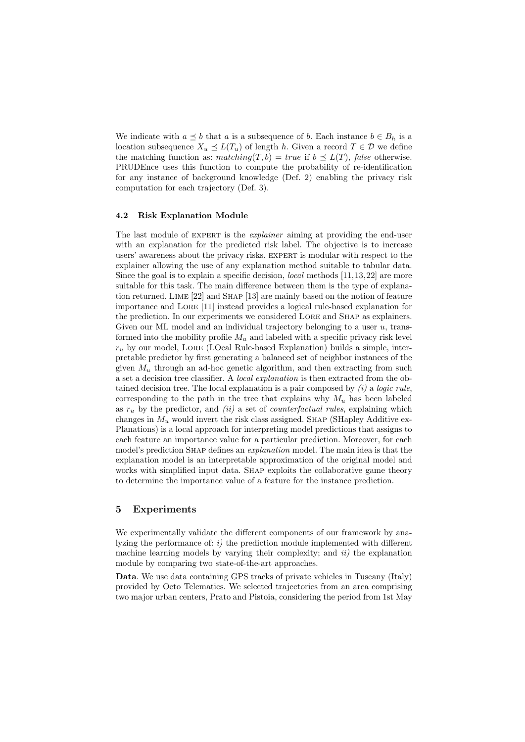We indicate with  $a \preceq b$  that *a* is a subsequence of *b*. Each instance  $b \in B_h$  is a location subsequence  $X_u \preceq L(T_u)$  of length *h*. Given a record  $T \in \mathcal{D}$  we define the matching function as:  $matching(T, b) = true$  if  $b \preceq L(T)$ , *false* otherwise. PRUDEnce uses this function to compute the probability of re-identification for any instance of background knowledge (Def. 2) enabling the privacy risk computation for each trajectory (Def. 3).

#### 4.2 Risk Explanation Module

The last module of expert is the *explainer* aiming at providing the end-user with an explanation for the predicted risk label. The objective is to increase users' awareness about the privacy risks. EXPERT is modular with respect to the explainer allowing the use of any explanation method suitable to tabular data. Since the goal is to explain a specific decision, *local* methods [11,13,22] are more suitable for this task. The main difference between them is the type of explanation returned. Lime [22] and Shap [13] are mainly based on the notion of feature importance and Lore [11] instead provides a logical rule-based explanation for the prediction. In our experiments we considered Lore and Shap as explainers. Given our ML model and an individual trajectory belonging to a user *u*, transformed into the mobility profile  $M_u$  and labeled with a specific privacy risk level  $r_u$  by our model, LORE (LOcal Rule-based Explanation) builds a simple, interpretable predictor by first generating a balanced set of neighbor instances of the given  $M_u$  through an ad-hoc genetic algorithm, and then extracting from such a set a decision tree classifier. A *local explanation* is then extracted from the obtained decision tree. The local explanation is a pair composed by *(i)* a *logic rule*, corresponding to the path in the tree that explains why  $M_u$  has been labeled as *r<sup>u</sup>* by the predictor, and *(ii)* a set of *counterfactual rules*, explaining which changes in  $M_u$  would invert the risk class assigned. SHAP (SHapley Additive ex-Planations) is a local approach for interpreting model predictions that assigns to each feature an importance value for a particular prediction. Moreover, for each model's prediction Shap defines an *explanation* model. The main idea is that the explanation model is an interpretable approximation of the original model and works with simplified input data. SHAP exploits the collaborative game theory to determine the importance value of a feature for the instance prediction.

## 5 Experiments

We experimentally validate the different components of our framework by analyzing the performance of:  $i$ ) the prediction module implemented with different machine learning models by varying their complexity; and *ii)* the explanation module by comparing two state-of-the-art approaches.

Data. We use data containing GPS tracks of private vehicles in Tuscany (Italy) provided by Octo Telematics. We selected trajectories from an area comprising two major urban centers, Prato and Pistoia, considering the period from 1st May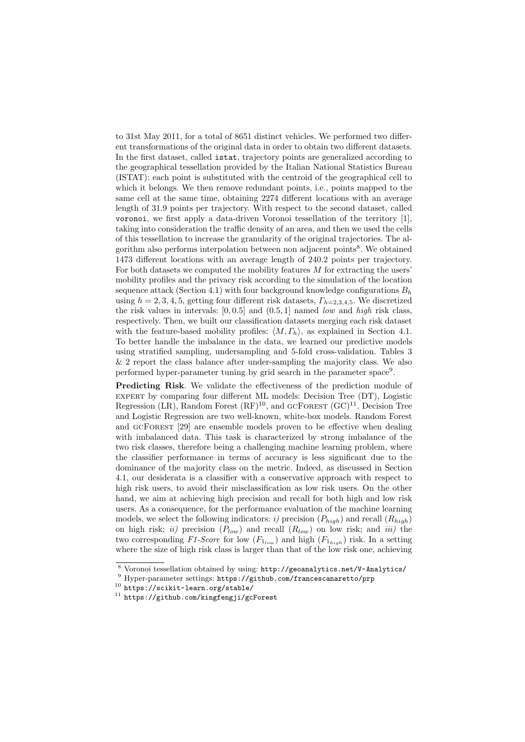to  $31$ st May 2011, for a total of 8651 distinct vehicles. We performed two different transformations of the original data in order to obtain two different datasets. In the first dataset, called istat, trajectory points are generalized according to the geographical tessellation provided by the Italian National Statistics Bureau (ISTAT): each point is substituted with the centroid of the geographical cell to which it belongs. We then remove redundant points, i.e., points mapped to the same cell at the same time, obtaining 2274 different locations with an average length of 31.9 points per trajectory. With respect to the second dataset, called voronoi, we first apply a data-driven Voronoi tessellation of the territory [1], taking into consideration the traffic density of an area, and then we used the cells of this tessellation to increase the granularity of the original trajectories. The algorithm also performs interpolation between non adjacent points<sup>8</sup>. We obtained 1473 different locations with an average length of 240.2 points per trajectory. For both datasets we computed the mobility features *M* for extracting the users' mobility profiles and the privacy risk according to the simulation of the location sequence attack (Section 4.1) with four background knowledge configurations  $B_h$ using  $h = 2, 3, 4, 5$ , getting four different risk datasets,  $\Gamma_{h=2,3,4,5}$ . We discretized the risk values in intervals: [0*,* 0*.*5] and (0*.*5*,* 1] named *low* and *high* risk class, respectively. Then, we built our classification datasets merging each risk dataset with the feature-based mobility profiles:  $\langle M, \Gamma_h \rangle$ , as explained in Section 4.1. To better handle the imbalance in the data, we learned our predictive models using stratified sampling, undersampling and 5-fold cross-validation. Tables 3 & 2 report the class balance after under-sampling the majority class. We also performed hyper-parameter tuning by grid search in the parameter space<sup>9</sup>.

Predicting Risk. We validate the effectiveness of the prediction module of EXPERT by comparing four different ML models: Decision Tree  $(DT)$ , Logistic Regression (LR), Random Forest  $(RF)^{10}$ , and GCFOREST  $(GC)^{11}$ . Decision Tree and Logistic Regression are two well-known, white-box models. Random Forest and GCFOREST [29] are ensemble models proven to be effective when dealing with imbalanced data. This task is characterized by strong imbalance of the two risk classes, therefore being a challenging machine learning problem, where the classifier performance in terms of accuracy is less significant due to the dominance of the majority class on the metric. Indeed, as discussed in Section 4.1, our desiderata is a classifier with a conservative approach with respect to high risk users, to avoid their misclassification as low risk users. On the other hand, we aim at achieving high precision and recall for both high and low risk users. As a consequence, for the performance evaluation of the machine learning models, we select the following indicators: *i*) precision  $(P_{high})$  and recall  $(R_{high})$ on high risk; *ii)* precision (*Plow*) and recall (*Rlow*) on low risk; and *iii)* the two corresponding *F1-Score* for low  $(F_{1_{low}})$  and high  $(F_{1_{high}})$  risk. In a setting where the size of high risk class is larger than that of the low risk one, achieving

<sup>8</sup> Voronoi tessellation obtained by using: http://geoanalytics.net/V-Analytics/

<sup>9</sup> Hyper-parameter settings: https://github.com/francescanaretto/prp

<sup>10</sup> https://scikit-learn.org/stable/

<sup>11</sup> https://github.com/kingfengji/gcForest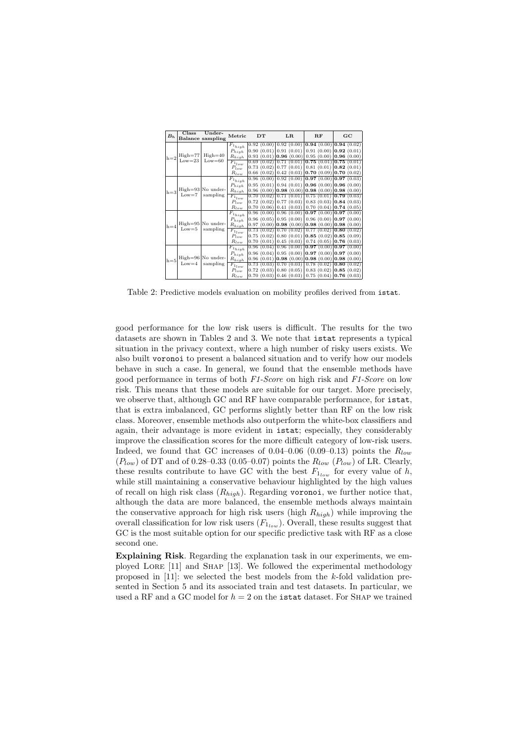| $\bm{B_h}$ | Class      | Under-<br><b>Balance</b> sampling   | Metric                                                                                           | DT                       | $_{LR}$                                                                                                            | $_{RF}$                                                                                                                                                                                                                                                                                     | GC                                                                            |
|------------|------------|-------------------------------------|--------------------------------------------------------------------------------------------------|--------------------------|--------------------------------------------------------------------------------------------------------------------|---------------------------------------------------------------------------------------------------------------------------------------------------------------------------------------------------------------------------------------------------------------------------------------------|-------------------------------------------------------------------------------|
| $h=2$      | $Low = 23$ | $High=77$ High=40<br>$Low = 60$     | $F_{1_{high}}$<br>$P_{high}$<br>$R_{high}$<br>$F_{1_{low}}$<br>$P_{low}$<br>$R_{low}$            | 0.92(0.00)<br>0.66(0.02) | $0.93(0.01)$ 0.96 $(0.00)$                                                                                         | $0.92$ (0.00) <b>0.94</b> (0.00) <b>0.94</b> (0.02)<br>$[0.90 (0.01) 0.91 (0.01) 0.91 (0.00) 0.92 (0.01)]$<br>0.95(0.00)<br>$0.69(0.02)[0.71(0.01)]$ 0.75 $(0.01)[0.75(0.01)]$<br>$[0.73 (0.02) 0.77 (0.01) 0.81 (0.01) 0.82 (0.01)$<br>$0.42$ (0.03) <b>0.70</b> (0.09) <b>0.70</b> (0.02) | 0.96(0.00)                                                                    |
|            | $Low=7$    | $h=3$ High=93 No under-<br>sampling | $F_{1_{high}}$<br>$P_{high}$<br>$R_{high}$<br>$F_{1_{low}}$<br>$P_{low}$<br>$R_{low}$            | 0.96(0.00)               | 0.70(0.02)[0.71(0.01)]<br>[0.70(0.06) 0.41(0.03)]                                                                  | $0.92(0.00)$ 0.97 $(0.00)$<br>$[0.95(0.01) \ 0.94(0.01) \ 0.96(0.00) \ 0.96(0.00)$<br>$[0.96 (0.00) \,   \, 0.98 (0.00) \,   \, 0.98 (0.00) \,   \, 0.98 (0.00)$<br>$[0.72 (0.02) 0.77 (0.03) 0.83 (0.03) 0.84 (0.03)]$<br>0.70(0.04)                                                       | 0.97(0.03) <br>$0.75(0.01)$ 0.79 $(0.03)$<br> 0.74(0.05)                      |
| $h = 4$    | $Low=5$    | $High=95 No$ under-<br>sampling     | $\overline{F}_{1_{high}}$<br>$P_{high}$<br>$R_{high}$<br>$F_{1_{low}}$<br>$P_{low}$<br>$R_{low}$ |                          | 0.96(0.00)[0.96(0.00)]<br>0.73(0.02)[0.70(0.02)]<br>$0.70(0.01)$ 0.45 (0.03)                                       | $[0.96(0.05) \, 0.95(0.00) \, 0.96(0.00) \, 0.97(0.00)]$<br>$(0.97 (0.00)   0.98 (0.00)   0.98 (0.00)   0.98 (0.00)$<br>0.77(0.02)<br>$[0.75 (0.02) 0.80 (0.01) 0.85 (0.02) 0.85 (0.09)]$                                                                                                   | $0.97(0.00)$ $0.97(0.00)$<br> 0.80(0.02) <br>$0.74$ (0.05) <b>0.76</b> (0.03) |
|            | $Low=4$    | $h=5$ High=96 No under-<br>sampling | $F_{1_{high}}$<br>$P_{high}$<br>$R_{high}$<br>$F_{1_{low}}$<br>$P_{low}$<br>$R_{low}$            |                          | $0.96(0.04)$ 0.96 $(0.00)$<br>0.73(0.03)[0.70(0.03)]<br>$0.72(0.03)$ 0.80 $(0.05)$<br>$[0.70(0.03) \, 0.46(0.03)]$ | 0.97(0.00)<br>$[0.96(0.04) \, 0.95(0.00) \, 0.97(0.00) \, 0.97(0.00)]$<br>$[0.96 (0.01) \,   \, 0.98 (0.00) \,   \, 0.98 (0.00) \,   \, 0.98 (0.00)$<br>0.78(0.02)<br>0.83(0.02)<br>0.75(0.04)                                                                                              | 0.97(0.00)<br>0.80(0.02)<br>0.85(0.02)<br> 0.76(0.03)                         |

Table 2: Predictive models evaluation on mobility profiles derived from istat.

good performance for the low risk users is difficult. The results for the two datasets are shown in Tables 2 and 3. We note that istat represents a typical situation in the privacy context, where a high number of risky users exists. We also built voronoi to present a balanced situation and to verify how our models behave in such a case. In general, we found that the ensemble methods have good performance in terms of both *F1-Score* on high risk and *F1-Score* on low risk. This means that these models are suitable for our target. More precisely, we observe that, although GC and RF have comparable performance, for istat, that is extra imbalanced, GC performs slightly better than RF on the low risk class. Moreover, ensemble methods also outperform the white-box classifiers and again, their advantage is more evident in istat; especially, they considerably improve the classification scores for the more difficult category of low-risk users. Indeed, we found that GC increases of 0.04–0.06 (0.09–0.13) points the *Rlow*  $(P_{low})$  of DT and of 0.28–0.33 (0.05–0.07) points the  $R_{low}$  ( $P_{low}$ ) of LR. Clearly, these results contribute to have GC with the best  $F_{1_{low}}$  for every value of *h*, while still maintaining a conservative behaviour highlighted by the high values of recall on high risk class (*Rhigh*). Regarding voronoi, we further notice that, although the data are more balanced, the ensemble methods always maintain the conservative approach for high risk users (high *Rhigh*) while improving the overall classification for low risk users  $(F_{1_{low}})$ . Overall, these results suggest that GC is the most suitable option for our specific predictive task with RF as a close second one.

Explaining Risk. Regarding the explanation task in our experiments, we employed Lore [11] and Shap [13]. We followed the experimental methodology proposed in [11]: we selected the best models from the *k*-fold validation presented in Section 5 and its associated train and test datasets. In particular, we used a RF and a GC model for  $h = 2$  on the istat dataset. For SHAP we trained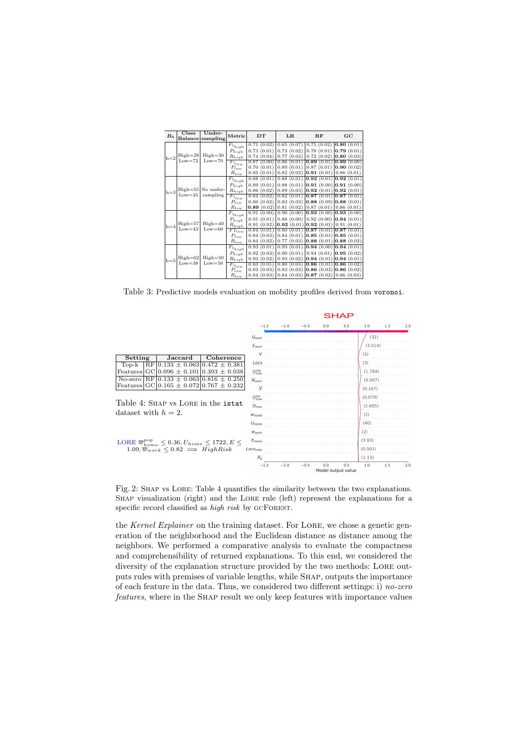| $B_h$   | Class                     | Under-<br><b>Balance</b> sampling | Metric                                                                                           | <b>DT</b>                                                          | $_{LR}$                  | $_{RF}$                                                                                                                     | GC                                                                                                                                                                                                                                                                                                      |
|---------|---------------------------|-----------------------------------|--------------------------------------------------------------------------------------------------|--------------------------------------------------------------------|--------------------------|-----------------------------------------------------------------------------------------------------------------------------|---------------------------------------------------------------------------------------------------------------------------------------------------------------------------------------------------------------------------------------------------------------------------------------------------------|
| $h=2$   | $High = 28$<br>$Low = 72$ | $High=30$<br>$Low=70$             | $F_{1_{high}}$<br>$P_{high}$<br>$R_{high}$<br>$F_{1_{low}}$<br>$P_{low}$<br>$R_{low}$            | 0.71(0.02)<br>0.73(0.01)<br>0.74(0.04)<br>0.87(0.00)<br>0.85(0.01) | 0.73(0.02)<br>0.77(0.03) | $0.70(0.01)$ $0.89(0.01)$ $0.87(0.01)$ $0.90(0.02)$<br>$0.82$ (0.02) <b>0.91</b> (0.01) 0.86 (0.01)                         | $0.65(0.07)$ 0.75 $(0.02)$ 0.80 $(0.01)$<br>$0.78(0.01)$ 0.79 $(0.01)$<br>$0.72$ (0.02) <b>0.80</b> (0.03)<br>$0.86(0.01)$ 0.89 $(0.01)$ 0.89 $(0.00)$                                                                                                                                                  |
| $h=3$   | $Low=45$                  | High=55 No under-<br>sampling     | $F_{1_{high}}$<br>$P_{high}$<br>$R_{high}$<br>$\overline{F_{1}}_{low}$<br>$P_{low}$<br>$R_{low}$ | 0.88(0.01)<br>0.89(0.01)<br>0.86(0.02)<br>0.84(0.02)<br>0.89(0.02) | 0.81(0.02)               |                                                                                                                             | $0.88(0.01)$ 0.92 $(0.01)$ 0.92 $(0.01)$<br>$0.88(0.01)$ 0.91 $(0.00)$ 0.91 $(0.00)$<br>$0.89(0.03)$ 0.92 $(0.01)$ 0.92 $(0.01)$<br>$0.82$ (0.01) $\vert 0.87 \vert (0.01) \vert 0.87 \vert (0.01) \vert$<br>$0.80(0.02)$ 0.83 (0.03) <b>0.88</b> (0.09) <b>0.88</b> (0.01)<br>$0.87(0.01)$ 0.86 (0.01) |
| $h = 4$ | $ High=57 $<br>$Low=43$   | $High=40$<br>$Low = 60$           | $F_{1_{high}}$<br>$P_{high}$<br>$R_{high}$<br>$F1_{low}$<br>$P_{low}$<br>$R_{low}$               | 0.91(0.00)<br>0.91(0.01)<br>0.84(0.01)<br>0.84(0.03)<br>0.84(0.02) | 0.90(0.00)               | 0.93(0.00)<br>$0.91(0.02)$ $\vert 0.92(0.01) \vert 0.92(0.01) \vert 0.91(0.01)$<br>$0.77(0.03)$ 0.88 $(0.01)$ 0.88 $(0.02)$ | 0.93(0.00) <br>$0.88(0.00)$ 0.92 (0.00) 0.94 (0.01)<br>$0.80(0.01)$ $\vert 0.87(0.01) \vert 0.87(0.01)$<br>$0.84(0.01)$ 0.85 $(0.01)$ 0.85 $(0.01)$                                                                                                                                                     |
| $h=5$   | $High=62$<br>$Low = 38$   | $High=50$<br>$Low = 50$           | $F_{1_{high}}$<br>$P_{high}$<br>$R_{high}$<br>$F_{1_{low}}$<br>$P_{low}$<br>$R_{low}$            | 0.93(0.01)<br>0.92(0.03)<br>0.93(0.02)<br>0.83(0.01)<br>0.83(0.03) |                          | $0.90(0.01)$ 0.94 $(0.01)$ 0.95 $(0.02)$<br>$(0.83)(0.03)$ 0.86 $(0.03)$ 0.86 $(0.02)$                                      | $0.93(0.01)$ 0.94 $(0.00)$ 0.94 $(0.01)$<br>$0.93(0.02)$ 0.94 $(0.01)$ 0.94 $(0.01)$<br>$(0.80)(0.03)$ 0.86 $(0.01)$ 0.86 $(0.02)$<br>$0.84$ (0.03) 0.84 (0.03) <b>0.87</b> (0.02) 0.86 (0.03)                                                                                                          |

Table 3: Predictive models evaluation on mobility profiles derived from voronoi.

 $U_{\text{max}}$  $E_{\text{worl}}$ 

 $\vee$ 

 $-1.0$ 

 $-0.5$ 

**SHAP**  $0.0$ 

 $0.5$ 

 $1.0$ 

 $(5)$  $\overline{3)}$  $(1.784)$  $(0.067)$  $(0.167)$  $(0.079)$  $(2.605)$  $(2)$  $(40)$  $(2)$  $(3.93)$ 

 $(0.001)$  $(1.13)$ 

 $1.0$ 

0.0 0.5<br>Model output value

 $(32)$ 

 $(3.514)$ 

 $2.0$ 

 $\overline{2.0}$ 

 $1.5$ 

| Setting | Jaccard | $\Box$ Coherence                                                                                               |  |  |
|---------|---------|----------------------------------------------------------------------------------------------------------------|--|--|
|         |         | Top-k   RF $ 0.133 \pm 0.063 0.472 \pm 0.381 $<br>$\text{Features} \text{GC} 0.096 \pm 0.101 0.393 \pm 0.038 $ |  |  |
|         |         | $No$ -zero $\overline{RF 0.133 \pm 0.063 0.816 \pm 0.250}$                                                     |  |  |
|         |         | $\text{Features} \text{GC} 0.165 \pm 0.072 0.767 \pm 0.232 $                                                   |  |  |

| $RF$   0.133 $\pm$ 0.063   0.472                     | ヒリヒコ                 |
|------------------------------------------------------|----------------------|
|                                                      |                      |
| 0.063<br>No-zero                                     | $\overline{W}_{WOR}$ |
| Features GC 0.165 $\pm$ 0.072 0.767 $\pm$ 0.232      |                      |
|                                                      |                      |
| Table 4: SHAP vs LORE in the istat                   | $D_{max}$            |
| dataset with $h = 2$ .                               | Whome                |
|                                                      |                      |
|                                                      | Wwork                |
| LORE $\overline{w}^{pop}$<br>$\epsilon$ 0.36 $\mu$ . |                      |

 $-1.0$ 

 $-0.5$ 

| LORE $\overline{w}_{home}^{pop} \le 0.36, U_{home} \le 1722, E \le$ | $E_{home}$            |
|---------------------------------------------------------------------|-----------------------|
| $1.09, \overline{w}_{work} \leq 0.82 \implies HighRisk$             | LOCS <sub>ratic</sub> |

| Fig. 2: SHAP vs LORE: Table 4 quantifies the similarity between the two explanations. |  |
|---------------------------------------------------------------------------------------|--|
| SHAP visualization (right) and the LORE rule (left) represent the explanations for a  |  |
| specific record classified as <i>high risk</i> by GCFOREST.                           |  |

 $R_g$  $-1.5$ 

the *Kernel Explainer* on the training dataset. For LORE, we chose a genetic generation of the neighborhood and the Euclidean distance as distance among the neighbors. We performed a comparative analysis to evaluate the compactness and comprehensibility of returned explanations. To this end, we considered the diversity of the explanation structure provided by the two methods: LORE outputs rules with premises of variable lengths, while Shap, outputs the importance of each feature in the data. Thus, we considered two different settings: i) *no-zero features*, where in the Shap result we only keep features with importance values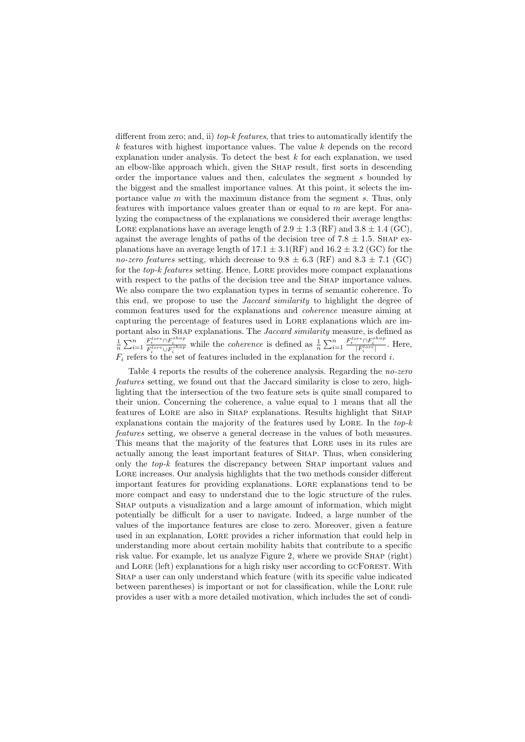different from zero; and, ii)  $top-k$  *features*, that tries to automatically identify the *k* features with highest importance values. The value *k* depends on the record explanation under analysis. To detect the best *k* for each explanation, we used an elbow-like approach which, given the Shap result, first sorts in descending order the importance values and then, calculates the segment *s* bounded by the biggest and the smallest importance values. At this point, it selects the importance value *m* with the maximum distance from the segment *s*. Thus, only features with importance values greater than or equal to *m* are kept. For analyzing the compactness of the explanations we considered their average lengths: LORE explanations have an average length of  $2.9 \pm 1.3$  (RF) and  $3.8 \pm 1.4$  (GC), against the average lenghts of paths of the decision tree of  $7.8 \pm 1.5$ . SHAP explanations have an average length of  $17.1 \pm 3.1$  (RF) and  $16.2 \pm 3.2$  (GC) for the *no-zero features* setting, which decrease to  $9.8 \pm 6.3$  (RF) and  $8.3 \pm 7.1$  (GC) for the *top-k features* setting. Hence, Lore provides more compact explanations with respect to the paths of the decision tree and the SHAP importance values. We also compare the two explanation types in terms of semantic coherence. To this end, we propose to use the *Jaccard similarity* to highlight the degree of common features used for the explanations and *coherence* measure aiming at capturing the percentage of features used in Lore explanations which are important also in Shap explanations. The *Jaccard similarity* measure, is defined as  $\frac{1}{n}\sum_{i=1}^n$  $F_i^{lorc} \cap F_i^{sharp}$  while the *coherence* is defined as  $\frac{1}{n} \sum_{i=1}^n F_i^{lorc} \cup F_i^{sharp}$  $\frac{F_i^{lore} \cap F_i^{shape}}{|F_i^{lore}|}$ . Here,  $F_i$  refers to the set of features included in the explanation for the record *i*.

Table 4 reports the results of the coherence analysis. Regarding the *no-zero features* setting, we found out that the Jaccard similarity is close to zero, highlighting that the intersection of the two feature sets is quite small compared to their union. Concerning the coherence, a value equal to 1 means that all the features of Lore are also in Shap explanations. Results highlight that Shap explanations contain the majority of the features used by Lore. In the *top-k features* setting, we observe a general decrease in the values of both measures. This means that the majority of the features that Lore uses in its rules are actually among the least important features of Shap. Thus, when considering only the *top-k* features the discrepancy between Shap important values and LORE increases. Our analysis highlights that the two methods consider different important features for providing explanations. Lore explanations tend to be more compact and easy to understand due to the logic structure of the rules. Shap outputs a visualization and a large amount of information, which might potentially be difficult for a user to navigate. Indeed, a large number of the values of the importance features are close to zero. Moreover, given a feature used in an explanation, Lore provides a richer information that could help in understanding more about certain mobility habits that contribute to a specific risk value. For example, let us analyze Figure 2, where we provide Shap (right) and LORE (left) explanations for a high risky user according to GCFOREST. With Shap a user can only understand which feature (with its specific value indicated between parentheses) is important or not for classification, while the Lore rule provides a user with a more detailed motivation, which includes the set of condi-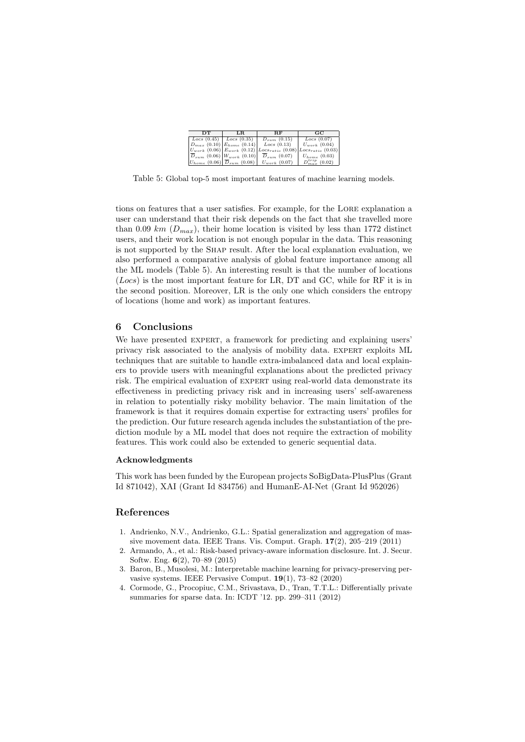| DТ | LB.                                | <b>RF</b>                                                                                           | GC.                                                                         |
|----|------------------------------------|-----------------------------------------------------------------------------------------------------|-----------------------------------------------------------------------------|
|    | $Locs (0.45)$ $Locs (0.35)$        | $D_{sum} (0.15)$                                                                                    | Locs(0.07)                                                                  |
|    | $D_{max}$ (0.10) $E_{home}$ (0.14) | Locs(0.13)                                                                                          | $U_{work}$ (0.04)                                                           |
|    |                                    |                                                                                                     | $ U_{work} (0.06) E_{work} (0.12) Loss_{ratio} (0.08) Loss_{ratio} (0.03) $ |
|    |                                    | $\left  \overline{D}_{sum} (0.06) \right  W_{work} (0.10) \left  \overline{D}_{sum} (0.07) \right $ | $U_{home}$ (0.03)                                                           |
|    |                                    | $ U_{home} (0.06)  \overline{D}_{sum} (0.08)  U_{work} (0.07)$                                      | $D_{max}^{trip}$ (0.02)                                                     |

Table 5: Global top-5 most important features of machine learning models.

tions on features that a user satisfies. For example, for the Lore explanation a user can understand that their risk depends on the fact that she travelled more than 0.09  $km$  ( $D_{max}$ ), their home location is visited by less than 1772 distinct users, and their work location is not enough popular in the data. This reasoning is not supported by the Shap result. After the local explanation evaluation, we also performed a comparative analysis of global feature importance among all the ML models (Table 5). An interesting result is that the number of locations (*Locs*) is the most important feature for LR, DT and GC, while for RF it is in the second position. Moreover, LR is the only one which considers the entropy of locations (home and work) as important features.

## 6 Conclusions

We have presented EXPERT, a framework for predicting and explaining users' privacy risk associated to the analysis of mobility data. expert exploits ML techniques that are suitable to handle extra-imbalanced data and local explainers to provide users with meaningful explanations about the predicted privacy risk. The empirical evaluation of EXPERT using real-world data demonstrate its effectiveness in predicting privacy risk and in increasing users' self-awareness in relation to potentially risky mobility behavior. The main limitation of the framework is that it requires domain expertise for extracting users' profiles for the prediction. Our future research agenda includes the substantiation of the prediction module by a ML model that does not require the extraction of mobility features. This work could also be extended to generic sequential data.

#### Acknowledgments

This work has been funded by the European projects SoBigData-PlusPlus (Grant Id 871042), XAI (Grant Id 834756) and HumanE-AI-Net (Grant Id 952026)

#### References

- 1. Andrienko, N.V., Andrienko, G.L.: Spatial generalization and aggregation of massive movement data. IEEE Trans. Vis. Comput. Graph. 17(2), 205–219 (2011)
- 2. Armando, A., et al.: Risk-based privacy-aware information disclosure. Int. J. Secur. Softw. Eng. 6(2), 70–89 (2015)
- 3. Baron, B., Musolesi, M.: Interpretable machine learning for privacy-preserving pervasive systems. IEEE Pervasive Comput. 19(1), 73–82 (2020)
- 4. Cormode, G., Procopiuc, C.M., Srivastava, D., Tran, T.T.L.: Differentially private summaries for sparse data. In: ICDT '12. pp. 299–311 (2012)